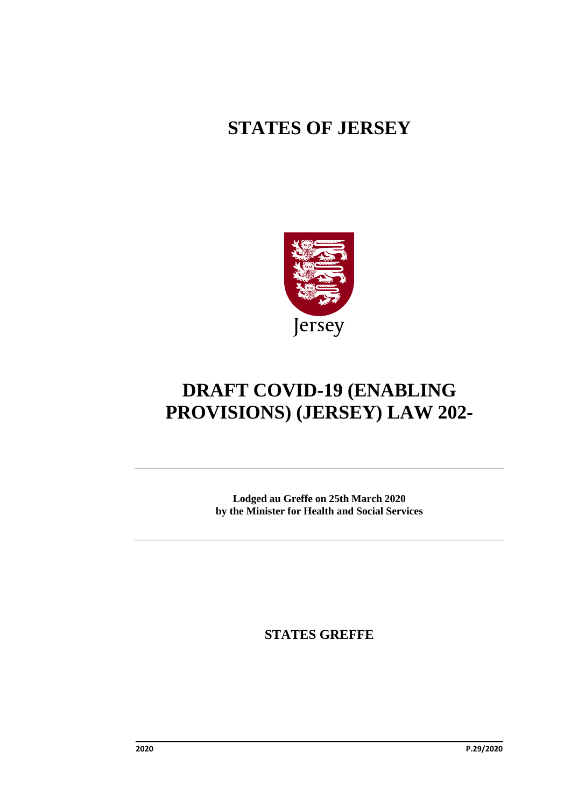# **STATES OF JERSEY**



# **DRAFT COVID-19 (ENABLING PROVISIONS) (JERSEY) LAW 202-**

**Lodged au Greffe on 25th March 2020 by the Minister for Health and Social Services**

**STATES GREFFE**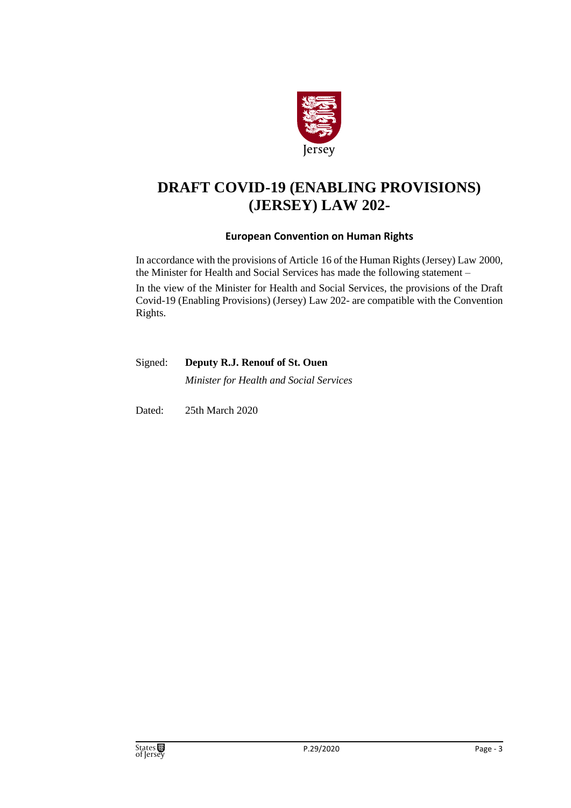

## **DRAFT COVID-19 (ENABLING PROVISIONS) (JERSEY) LAW 202-**

#### **European Convention on Human Rights**

In accordance with the provisions of Article 16 of the Human Rights (Jersey) Law 2000, the Minister for Health and Social Services has made the following statement –

In the view of the Minister for Health and Social Services, the provisions of the Draft Covid-19 (Enabling Provisions) (Jersey) Law 202- are compatible with the Convention Rights.

| Signed: Deputy R.J. Renouf of St. Ouen  |  |
|-----------------------------------------|--|
| Minister for Health and Social Services |  |

Dated: 25th March 2020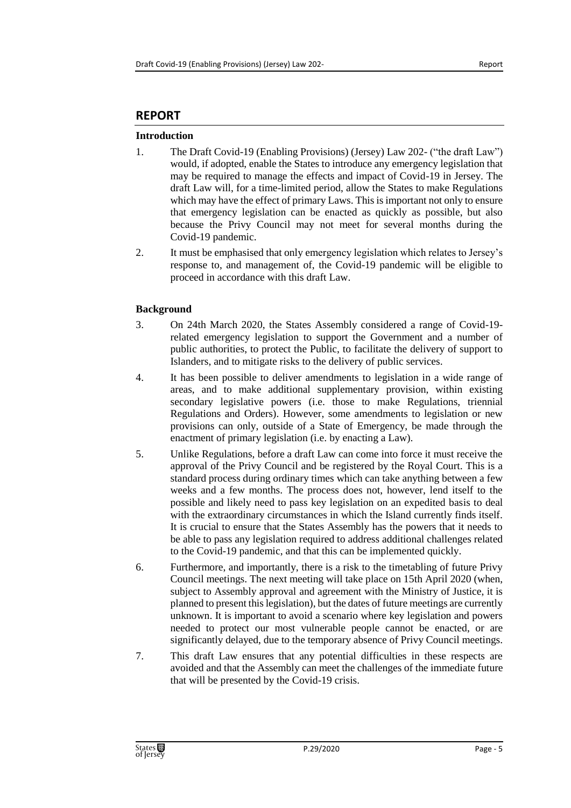#### **REPORT**

#### **Introduction**

- 1. The Draft Covid-19 (Enabling Provisions) (Jersey) Law 202- ("the draft Law") would, if adopted, enable the States to introduce any emergency legislation that may be required to manage the effects and impact of Covid-19 in Jersey. The draft Law will, for a time-limited period, allow the States to make Regulations which may have the effect of primary Laws. This is important not only to ensure that emergency legislation can be enacted as quickly as possible, but also because the Privy Council may not meet for several months during the Covid-19 pandemic.
- 2. It must be emphasised that only emergency legislation which relates to Jersey's response to, and management of, the Covid-19 pandemic will be eligible to proceed in accordance with this draft Law.

#### **Background**

- 3. On 24th March 2020, the States Assembly considered a range of Covid-19 related emergency legislation to support the Government and a number of public authorities, to protect the Public, to facilitate the delivery of support to Islanders, and to mitigate risks to the delivery of public services.
- 4. It has been possible to deliver amendments to legislation in a wide range of areas, and to make additional supplementary provision, within existing secondary legislative powers (i.e. those to make Regulations, triennial Regulations and Orders). However, some amendments to legislation or new provisions can only, outside of a State of Emergency, be made through the enactment of primary legislation (i.e. by enacting a Law).
- 5. Unlike Regulations, before a draft Law can come into force it must receive the approval of the Privy Council and be registered by the Royal Court. This is a standard process during ordinary times which can take anything between a few weeks and a few months. The process does not, however, lend itself to the possible and likely need to pass key legislation on an expedited basis to deal with the extraordinary circumstances in which the Island currently finds itself. It is crucial to ensure that the States Assembly has the powers that it needs to be able to pass any legislation required to address additional challenges related to the Covid-19 pandemic, and that this can be implemented quickly.
- 6. Furthermore, and importantly, there is a risk to the timetabling of future Privy Council meetings. The next meeting will take place on 15th April 2020 (when, subject to Assembly approval and agreement with the Ministry of Justice, it is planned to present this legislation), but the dates of future meetings are currently unknown. It is important to avoid a scenario where key legislation and powers needed to protect our most vulnerable people cannot be enacted, or are significantly delayed, due to the temporary absence of Privy Council meetings.
- 7. This draft Law ensures that any potential difficulties in these respects are avoided and that the Assembly can meet the challenges of the immediate future that will be presented by the Covid-19 crisis.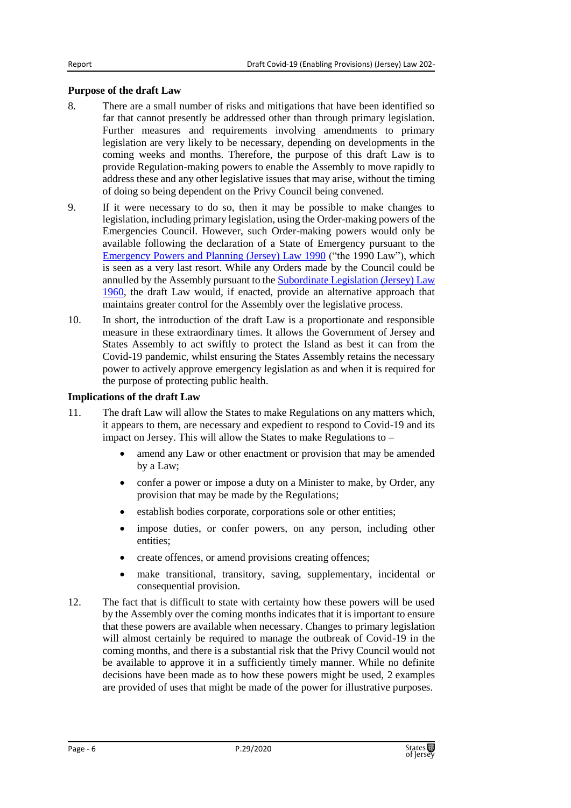#### **Purpose of the draft Law**

- 8. There are a small number of risks and mitigations that have been identified so far that cannot presently be addressed other than through primary legislation. Further measures and requirements involving amendments to primary legislation are very likely to be necessary, depending on developments in the coming weeks and months. Therefore, the purpose of this draft Law is to provide Regulation-making powers to enable the Assembly to move rapidly to address these and any other legislative issues that may arise, without the timing of doing so being dependent on the Privy Council being convened.
- 9. If it were necessary to do so, then it may be possible to make changes to legislation, including primary legislation, using the Order-making powers of the Emergencies Council. However, such Order-making powers would only be available following the declaration of a State of Emergency pursuant to the [Emergency Powers and Planning \(Jersey\) Law 1990](https://www.jerseylaw.je/laws/revised/Pages/23.100.aspx) ("the 1990 Law"), which is seen as a very last resort. While any Orders made by the Council could be annulled by the Assembly pursuant to th[e Subordinate Legislation \(Jersey\) Law](https://www.jerseylaw.je/laws/revised/Pages/15.720.aspx)  [1960,](https://www.jerseylaw.je/laws/revised/Pages/15.720.aspx) the draft Law would, if enacted, provide an alternative approach that maintains greater control for the Assembly over the legislative process.
- 10. In short, the introduction of the draft Law is a proportionate and responsible measure in these extraordinary times. It allows the Government of Jersey and States Assembly to act swiftly to protect the Island as best it can from the Covid-19 pandemic, whilst ensuring the States Assembly retains the necessary power to actively approve emergency legislation as and when it is required for the purpose of protecting public health.

#### **Implications of the draft Law**

- 11. The draft Law will allow the States to make Regulations on any matters which, it appears to them, are necessary and expedient to respond to Covid-19 and its impact on Jersey. This will allow the States to make Regulations to –
	- amend any Law or other enactment or provision that may be amended by a Law;
	- confer a power or impose a duty on a Minister to make, by Order, any provision that may be made by the Regulations;
	- establish bodies corporate, corporations sole or other entities;
	- impose duties, or confer powers, on any person, including other entities;
	- create offences, or amend provisions creating offences;
	- make transitional, transitory, saving, supplementary, incidental or consequential provision.
- 12. The fact that is difficult to state with certainty how these powers will be used by the Assembly over the coming months indicates that it is important to ensure that these powers are available when necessary. Changes to primary legislation will almost certainly be required to manage the outbreak of Covid-19 in the coming months, and there is a substantial risk that the Privy Council would not be available to approve it in a sufficiently timely manner. While no definite decisions have been made as to how these powers might be used, 2 examples are provided of uses that might be made of the power for illustrative purposes.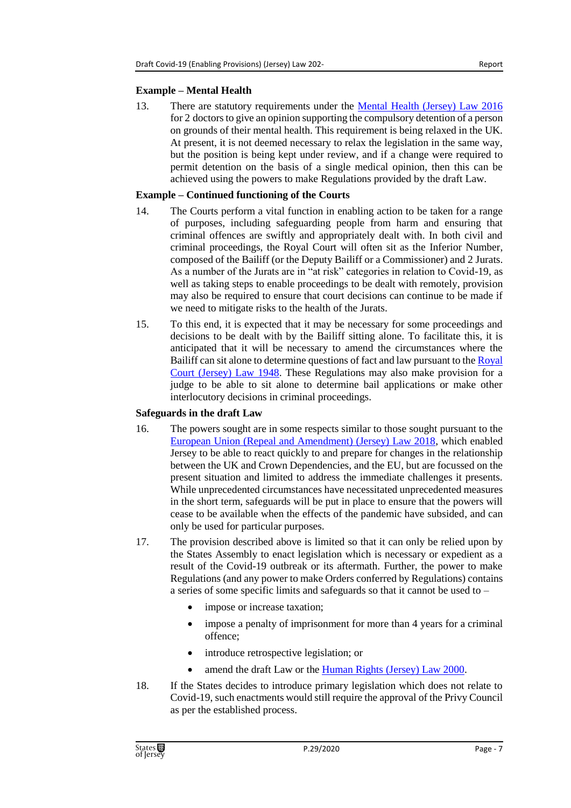#### **Example – Mental Health**

13. There are statutory requirements under the [Mental Health \(Jersey\) Law 2016](https://www.jerseylaw.je/laws/revised/Pages/20.650.aspx) for 2 doctors to give an opinion supporting the compulsory detention of a person on grounds of their mental health. This requirement is being relaxed in the UK. At present, it is not deemed necessary to relax the legislation in the same way, but the position is being kept under review, and if a change were required to permit detention on the basis of a single medical opinion, then this can be achieved using the powers to make Regulations provided by the draft Law.

#### **Example – Continued functioning of the Courts**

- 14. The Courts perform a vital function in enabling action to be taken for a range of purposes, including safeguarding people from harm and ensuring that criminal offences are swiftly and appropriately dealt with. In both civil and criminal proceedings, the Royal Court will often sit as the Inferior Number, composed of the Bailiff (or the Deputy Bailiff or a Commissioner) and 2 Jurats. As a number of the Jurats are in "at risk" categories in relation to Covid-19, as well as taking steps to enable proceedings to be dealt with remotely, provision may also be required to ensure that court decisions can continue to be made if we need to mitigate risks to the health of the Jurats.
- 15. To this end, it is expected that it may be necessary for some proceedings and decisions to be dealt with by the Bailiff sitting alone. To facilitate this, it is anticipated that it will be necessary to amend the circumstances where the Bailiff can sit alone to determine questions of fact and law pursuant to the [Royal](https://www.jerseylaw.je/laws/revised/Pages/07.770.aspx)  [Court \(Jersey\) Law 1948.](https://www.jerseylaw.je/laws/revised/Pages/07.770.aspx) These Regulations may also make provision for a judge to be able to sit alone to determine bail applications or make other interlocutory decisions in criminal proceedings.

#### **Safeguards in the draft Law**

- 16. The powers sought are in some respects similar to those sought pursuant to the [European Union \(Repeal and Amendment\) \(Jersey\) Law 2018,](https://www.jerseylaw.je/laws/revised/Pages/17.270.aspx) which enabled Jersey to be able to react quickly to and prepare for changes in the relationship between the UK and Crown Dependencies, and the EU, but are focussed on the present situation and limited to address the immediate challenges it presents. While unprecedented circumstances have necessitated unprecedented measures in the short term, safeguards will be put in place to ensure that the powers will cease to be available when the effects of the pandemic have subsided, and can only be used for particular purposes.
- 17. The provision described above is limited so that it can only be relied upon by the States Assembly to enact legislation which is necessary or expedient as a result of the Covid-19 outbreak or its aftermath. Further, the power to make Regulations (and any power to make Orders conferred by Regulations) contains a series of some specific limits and safeguards so that it cannot be used to –
	- impose or increase taxation;
	- impose a penalty of imprisonment for more than 4 years for a criminal offence;
	- introduce retrospective legislation; or
	- amend the draft Law or the [Human Rights \(Jersey\) Law 2000.](https://www.jerseylaw.je/laws/revised/Pages/15.350.aspx)
- 18. If the States decides to introduce primary legislation which does not relate to Covid-19, such enactments would still require the approval of the Privy Council as per the established process.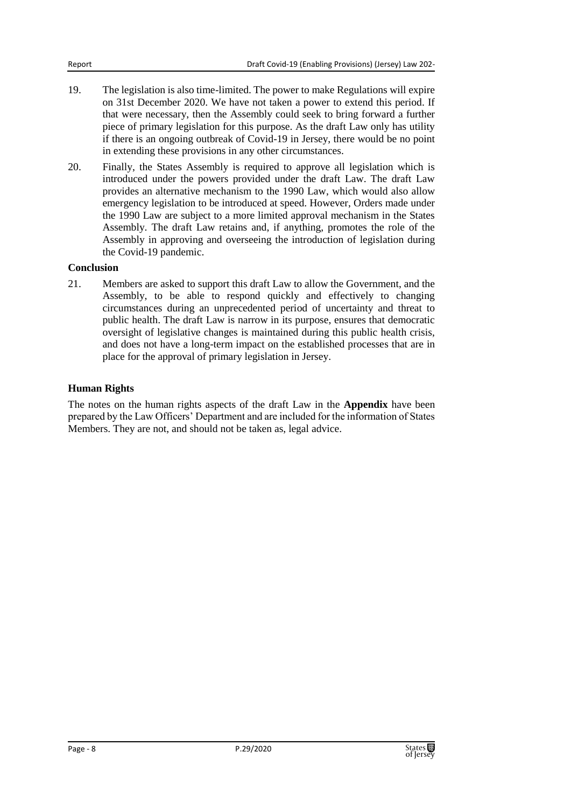- 19. The legislation is also time-limited. The power to make Regulations will expire on 31st December 2020. We have not taken a power to extend this period. If that were necessary, then the Assembly could seek to bring forward a further piece of primary legislation for this purpose. As the draft Law only has utility if there is an ongoing outbreak of Covid-19 in Jersey, there would be no point in extending these provisions in any other circumstances.
- 20. Finally, the States Assembly is required to approve all legislation which is introduced under the powers provided under the draft Law. The draft Law provides an alternative mechanism to the 1990 Law, which would also allow emergency legislation to be introduced at speed. However, Orders made under the 1990 Law are subject to a more limited approval mechanism in the States Assembly. The draft Law retains and, if anything, promotes the role of the Assembly in approving and overseeing the introduction of legislation during the Covid-19 pandemic.

#### **Conclusion**

21. Members are asked to support this draft Law to allow the Government, and the Assembly, to be able to respond quickly and effectively to changing circumstances during an unprecedented period of uncertainty and threat to public health. The draft Law is narrow in its purpose, ensures that democratic oversight of legislative changes is maintained during this public health crisis, and does not have a long-term impact on the established processes that are in place for the approval of primary legislation in Jersey.

#### **Human Rights**

The notes on the human rights aspects of the draft Law in the **Appendix** have been prepared by the Law Officers' Department and are included for the information of States Members. They are not, and should not be taken as, legal advice.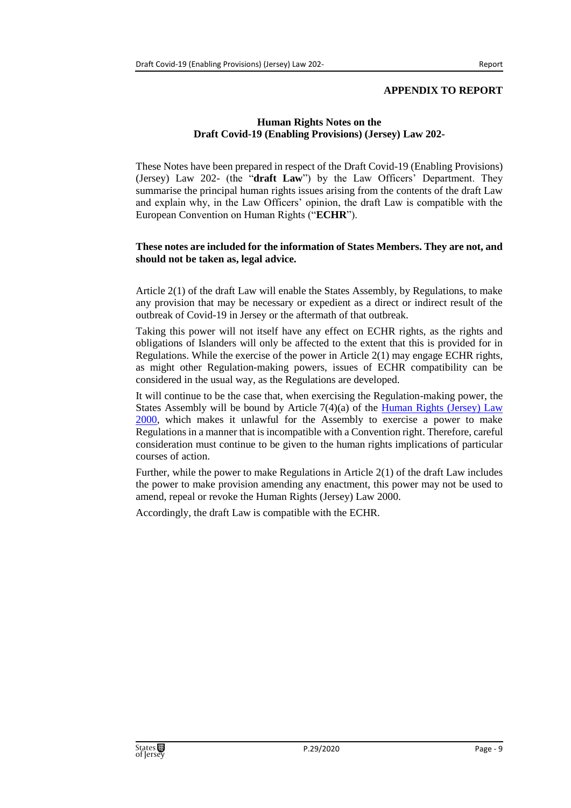#### **APPENDIX TO REPORT**

#### **Human Rights Notes on the Draft Covid-19 (Enabling Provisions) (Jersey) Law 202-**

These Notes have been prepared in respect of the Draft Covid-19 (Enabling Provisions) (Jersey) Law 202- (the "**draft Law**") by the Law Officers' Department. They summarise the principal human rights issues arising from the contents of the draft Law and explain why, in the Law Officers' opinion, the draft Law is compatible with the European Convention on Human Rights ("**ECHR**").

#### **These notes are included for the information of States Members. They are not, and should not be taken as, legal advice.**

Article 2(1) of the draft Law will enable the States Assembly, by Regulations, to make any provision that may be necessary or expedient as a direct or indirect result of the outbreak of Covid-19 in Jersey or the aftermath of that outbreak.

Taking this power will not itself have any effect on ECHR rights, as the rights and obligations of Islanders will only be affected to the extent that this is provided for in Regulations. While the exercise of the power in Article 2(1) may engage ECHR rights, as might other Regulation-making powers, issues of ECHR compatibility can be considered in the usual way, as the Regulations are developed.

It will continue to be the case that, when exercising the Regulation-making power, the States Assembly will be bound by Article  $7(4)(a)$  of the Human Rights (Jersey) Law [2000,](https://www.jerseylaw.je/laws/revised/Pages/15.350.aspx) which makes it unlawful for the Assembly to exercise a power to make Regulations in a manner that is incompatible with a Convention right. Therefore, careful consideration must continue to be given to the human rights implications of particular courses of action.

Further, while the power to make Regulations in Article 2(1) of the draft Law includes the power to make provision amending any enactment, this power may not be used to amend, repeal or revoke the Human Rights (Jersey) Law 2000.

Accordingly, the draft Law is compatible with the ECHR.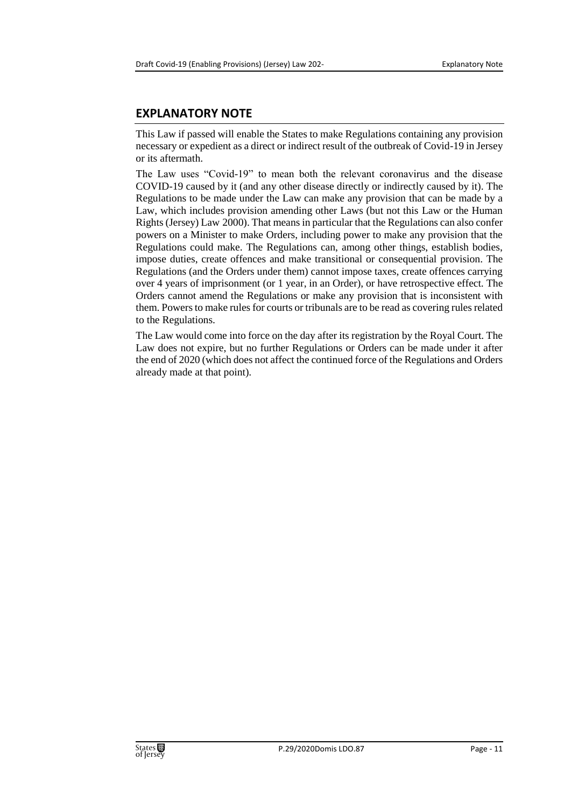#### **EXPLANATORY NOTE**

This Law if passed will enable the States to make Regulations containing any provision necessary or expedient as a direct or indirect result of the outbreak of Covid-19 in Jersey or its aftermath.

The Law uses "Covid-19" to mean both the relevant coronavirus and the disease COVID-19 caused by it (and any other disease directly or indirectly caused by it). The Regulations to be made under the Law can make any provision that can be made by a Law, which includes provision amending other Laws (but not this Law or the Human Rights (Jersey) Law 2000). That means in particular that the Regulations can also confer powers on a Minister to make Orders, including power to make any provision that the Regulations could make. The Regulations can, among other things, establish bodies, impose duties, create offences and make transitional or consequential provision. The Regulations (and the Orders under them) cannot impose taxes, create offences carrying over 4 years of imprisonment (or 1 year, in an Order), or have retrospective effect. The Orders cannot amend the Regulations or make any provision that is inconsistent with them. Powers to make rules for courts or tribunals are to be read as covering rules related to the Regulations.

The Law would come into force on the day after its registration by the Royal Court. The Law does not expire, but no further Regulations or Orders can be made under it after the end of 2020 (which does not affect the continued force of the Regulations and Orders already made at that point).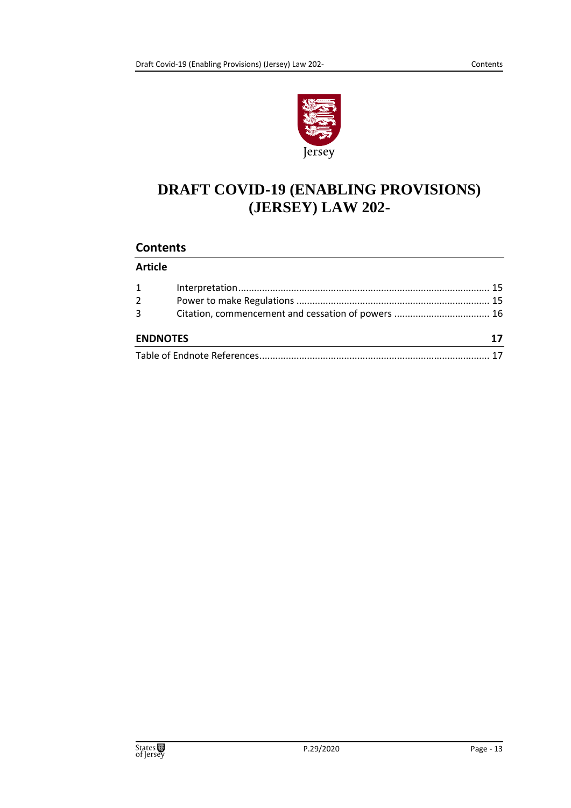

## **DRAFT COVID-19 (ENABLING PROVISIONS) (JERSEY) LAW 202-**

#### **Contents**

#### **Article**

| <b>ENDNOTES</b> |  |  |
|-----------------|--|--|
| 3               |  |  |
| $2^{\circ}$     |  |  |
| $1 \quad$       |  |  |
|                 |  |  |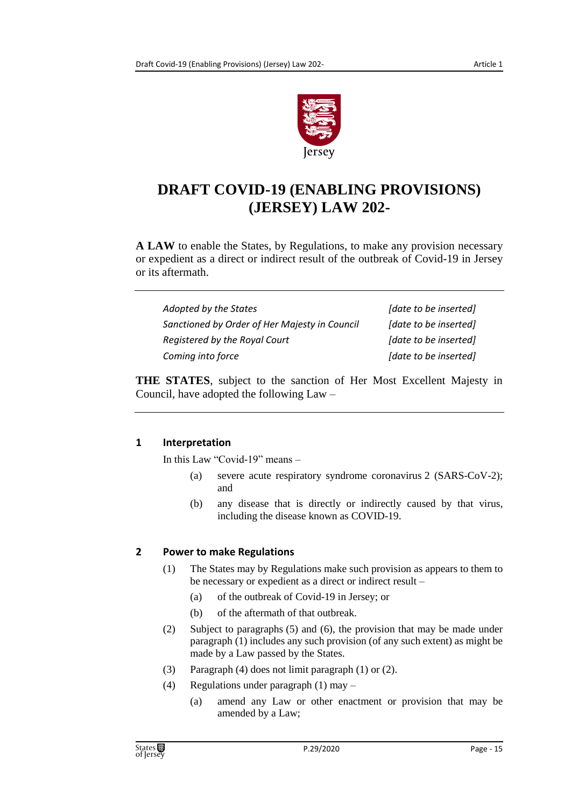

## **DRAFT COVID-19 (ENABLING PROVISIONS) (JERSEY) LAW 202-**

**A LAW** to enable the States, by Regulations, to make any provision necessary or expedient as a direct or indirect result of the outbreak of Covid-19 in Jersey or its aftermath.

| Adopted by the States                         | [date to be inserted] |
|-----------------------------------------------|-----------------------|
| Sanctioned by Order of Her Majesty in Council | [date to be inserted] |
| Registered by the Royal Court                 | [date to be inserted] |
| Coming into force                             | [date to be inserted] |

**THE STATES**, subject to the sanction of Her Most Excellent Majesty in Council, have adopted the following Law –

#### <span id="page-14-0"></span>**1 Interpretation**

In this Law "Covid-19" means –

- (a) severe acute respiratory syndrome coronavirus 2 (SARS-CoV-2); and
- (b) any disease that is directly or indirectly caused by that virus, including the disease known as COVID-19.

#### <span id="page-14-1"></span>**2 Power to make Regulations**

- (1) The States may by Regulations make such provision as appears to them to be necessary or expedient as a direct or indirect result –
	- (a) of the outbreak of Covid-19 in Jersey; or
	- (b) of the aftermath of that outbreak.
- (2) Subject to paragraphs (5) and (6), the provision that may be made under paragraph (1) includes any such provision (of any such extent) as might be made by a Law passed by the States.
- (3) Paragraph (4) does not limit paragraph (1) or (2).
- (4) Regulations under paragraph (1) may
	- (a) amend any Law or other enactment or provision that may be amended by a Law;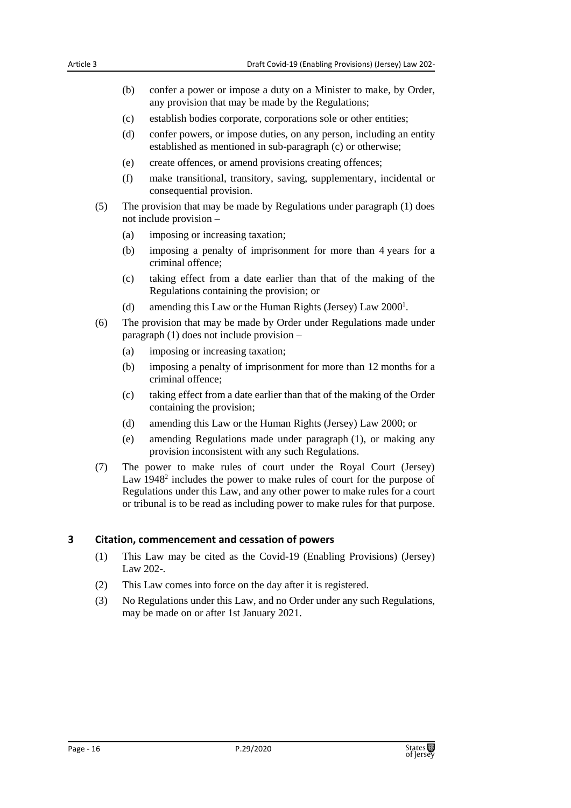- (b) confer a power or impose a duty on a Minister to make, by Order, any provision that may be made by the Regulations;
- (c) establish bodies corporate, corporations sole or other entities;
- (d) confer powers, or impose duties, on any person, including an entity established as mentioned in sub-paragraph (c) or otherwise;
- (e) create offences, or amend provisions creating offences;
- (f) make transitional, transitory, saving, supplementary, incidental or consequential provision.
- (5) The provision that may be made by Regulations under paragraph (1) does not include provision –
	- (a) imposing or increasing taxation;
	- (b) imposing a penalty of imprisonment for more than 4 years for a criminal offence;
	- (c) taking effect from a date earlier than that of the making of the Regulations containing the provision; or
	- (d) amending this Law or the Human Rights (Jersey) Law 2000<sup>1</sup>.
- (6) The provision that may be made by Order under Regulations made under paragraph (1) does not include provision –
	- (a) imposing or increasing taxation;
	- (b) imposing a penalty of imprisonment for more than 12 months for a criminal offence;
	- (c) taking effect from a date earlier than that of the making of the Order containing the provision;
	- (d) amending this Law or the Human Rights (Jersey) Law 2000; or
	- (e) amending Regulations made under paragraph (1), or making any provision inconsistent with any such Regulations.
- (7) The power to make rules of court under the Royal Court (Jersey) Law  $1948<sup>2</sup>$  includes the power to make rules of court for the purpose of Regulations under this Law, and any other power to make rules for a court or tribunal is to be read as including power to make rules for that purpose.

#### <span id="page-15-0"></span>**3 Citation, commencement and cessation of powers**

- (1) This Law may be cited as the Covid-19 (Enabling Provisions) (Jersey) Law 202-.
- (2) This Law comes into force on the day after it is registered.
- (3) No Regulations under this Law, and no Order under any such Regulations, may be made on or after 1st January 2021.